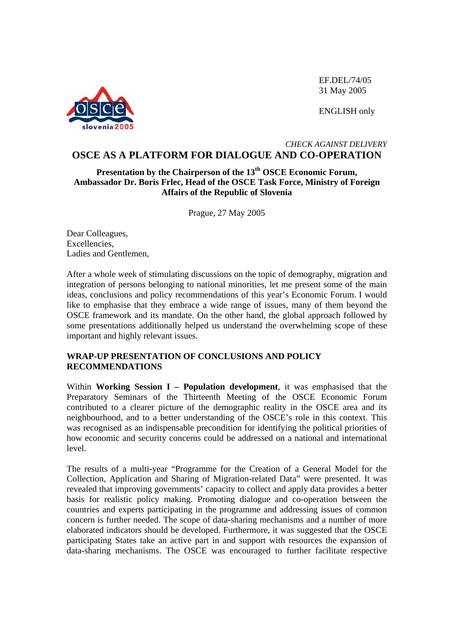

EF.DEL/74/05 31 May 2005

ENGLISH only

#### *CHECK AGAINST DELIVERY*  **OSCE AS A PLATFORM FOR DIALOGUE AND CO-OPERATION**

# **Presentation by the Chairperson of the 13th OSCE Economic Forum, Ambassador Dr. Boris Frlec, Head of the OSCE Task Force, Ministry of Foreign Affairs of the Republic of Slovenia**

Prague, 27 May 2005

Dear Colleagues, Excellencies, Ladies and Gentlemen,

After a whole week of stimulating discussions on the topic of demography, migration and integration of persons belonging to national minorities, let me present some of the main ideas, conclusions and policy recommendations of this year's Economic Forum. I would like to emphasise that they embrace a wide range of issues, many of them beyond the OSCE framework and its mandate. On the other hand, the global approach followed by some presentations additionally helped us understand the overwhelming scope of these important and highly relevant issues.

# **WRAP-UP PRESENTATION OF CONCLUSIONS AND POLICY RECOMMENDATIONS**

Within **Working Session I – Population development**, it was emphasised that the Preparatory Seminars of the Thirteenth Meeting of the OSCE Economic Forum contributed to a clearer picture of the demographic reality in the OSCE area and its neighbourhood, and to a better understanding of the OSCE's role in this context. This was recognised as an indispensable precondition for identifying the political priorities of how economic and security concerns could be addressed on a national and international level.

The results of a multi-year "Programme for the Creation of a General Model for the Collection, Application and Sharing of Migration-related Data" were presented. It was revealed that improving governments' capacity to collect and apply data provides a better basis for realistic policy making. Promoting dialogue and co-operation between the countries and experts participating in the programme and addressing issues of common concern is further needed. The scope of data-sharing mechanisms and a number of more elaborated indicators should be developed. Furthermore, it was suggested that the OSCE participating States take an active part in and support with resources the expansion of data-sharing mechanisms. The OSCE was encouraged to further facilitate respective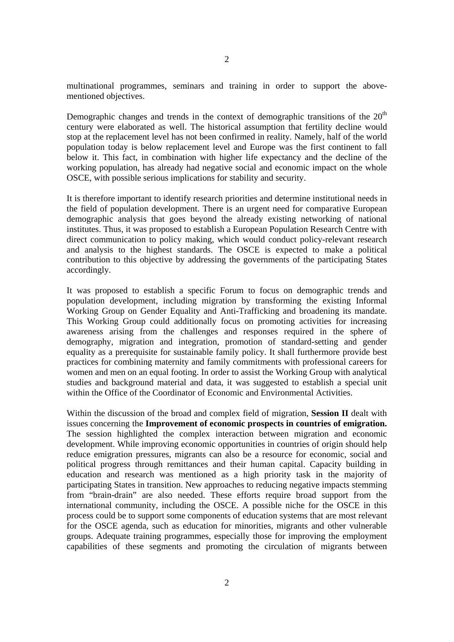multinational programmes, seminars and training in order to support the abovementioned objectives.

Demographic changes and trends in the context of demographic transitions of the  $20<sup>th</sup>$ century were elaborated as well. The historical assumption that fertility decline would stop at the replacement level has not been confirmed in reality. Namely, half of the world population today is below replacement level and Europe was the first continent to fall below it. This fact, in combination with higher life expectancy and the decline of the working population, has already had negative social and economic impact on the whole OSCE, with possible serious implications for stability and security.

It is therefore important to identify research priorities and determine institutional needs in the field of population development. There is an urgent need for comparative European demographic analysis that goes beyond the already existing networking of national institutes. Thus, it was proposed to establish a European Population Research Centre with direct communication to policy making, which would conduct policy-relevant research and analysis to the highest standards. The OSCE is expected to make a political contribution to this objective by addressing the governments of the participating States accordingly.

It was proposed to establish a specific Forum to focus on demographic trends and population development, including migration by transforming the existing Informal Working Group on Gender Equality and Anti-Trafficking and broadening its mandate. This Working Group could additionally focus on promoting activities for increasing awareness arising from the challenges and responses required in the sphere of demography, migration and integration, promotion of standard-setting and gender equality as a prerequisite for sustainable family policy. It shall furthermore provide best practices for combining maternity and family commitments with professional careers for women and men on an equal footing. In order to assist the Working Group with analytical studies and background material and data, it was suggested to establish a special unit within the Office of the Coordinator of Economic and Environmental Activities.

Within the discussion of the broad and complex field of migration, **Session II** dealt with issues concerning the **Improvement of economic prospects in countries of emigration.** The session highlighted the complex interaction between migration and economic development. While improving economic opportunities in countries of origin should help reduce emigration pressures, migrants can also be a resource for economic, social and political progress through remittances and their human capital. Capacity building in education and research was mentioned as a high priority task in the majority of participating States in transition. New approaches to reducing negative impacts stemming from "brain-drain" are also needed. These efforts require broad support from the international community, including the OSCE. A possible niche for the OSCE in this process could be to support some components of education systems that are most relevant for the OSCE agenda, such as education for minorities, migrants and other vulnerable groups. Adequate training programmes, especially those for improving the employment capabilities of these segments and promoting the circulation of migrants between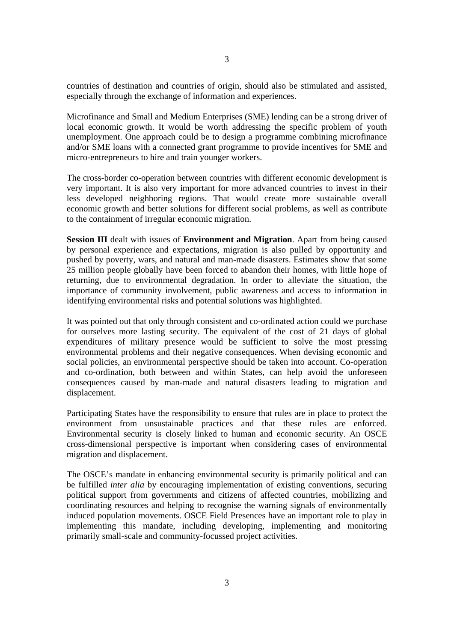countries of destination and countries of origin, should also be stimulated and assisted, especially through the exchange of information and experiences.

Microfinance and Small and Medium Enterprises (SME) lending can be a strong driver of local economic growth. It would be worth addressing the specific problem of youth unemployment. One approach could be to design a programme combining microfinance and/or SME loans with a connected grant programme to provide incentives for SME and micro-entrepreneurs to hire and train younger workers.

The cross-border co-operation between countries with different economic development is very important. It is also very important for more advanced countries to invest in their less developed neighboring regions. That would create more sustainable overall economic growth and better solutions for different social problems, as well as contribute to the containment of irregular economic migration.

**Session III** dealt with issues of **Environment and Migration**. Apart from being caused by personal experience and expectations, migration is also pulled by opportunity and pushed by poverty, wars, and natural and man-made disasters. Estimates show that some 25 million people globally have been forced to abandon their homes, with little hope of returning, due to environmental degradation. In order to alleviate the situation, the importance of community involvement, public awareness and access to information in identifying environmental risks and potential solutions was highlighted.

It was pointed out that only through consistent and co-ordinated action could we purchase for ourselves more lasting security. The equivalent of the cost of 21 days of global expenditures of military presence would be sufficient to solve the most pressing environmental problems and their negative consequences. When devising economic and social policies, an environmental perspective should be taken into account. Co-operation and co-ordination, both between and within States, can help avoid the unforeseen consequences caused by man-made and natural disasters leading to migration and displacement.

Participating States have the responsibility to ensure that rules are in place to protect the environment from unsustainable practices and that these rules are enforced. Environmental security is closely linked to human and economic security. An OSCE cross-dimensional perspective is important when considering cases of environmental migration and displacement.

The OSCE's mandate in enhancing environmental security is primarily political and can be fulfilled *inter alia* by encouraging implementation of existing conventions, securing political support from governments and citizens of affected countries, mobilizing and coordinating resources and helping to recognise the warning signals of environmentally induced population movements. OSCE Field Presences have an important role to play in implementing this mandate, including developing, implementing and monitoring primarily small-scale and community-focussed project activities.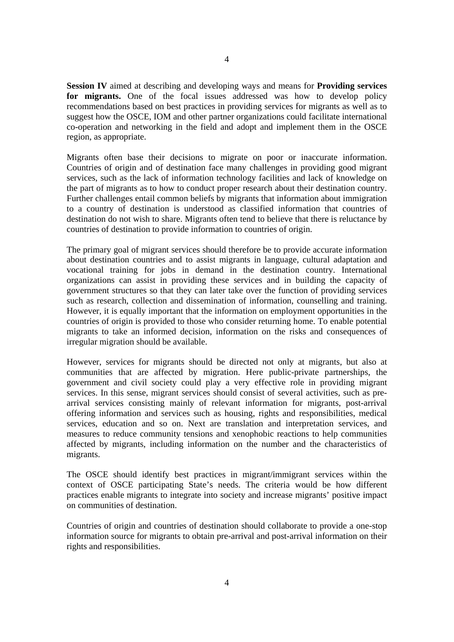**Session IV** aimed at describing and developing ways and means for **Providing services**  for migrants. One of the focal issues addressed was how to develop policy recommendations based on best practices in providing services for migrants as well as to suggest how the OSCE, IOM and other partner organizations could facilitate international co-operation and networking in the field and adopt and implement them in the OSCE region, as appropriate.

Migrants often base their decisions to migrate on poor or inaccurate information. Countries of origin and of destination face many challenges in providing good migrant services, such as the lack of information technology facilities and lack of knowledge on the part of migrants as to how to conduct proper research about their destination country. Further challenges entail common beliefs by migrants that information about immigration to a country of destination is understood as classified information that countries of destination do not wish to share. Migrants often tend to believe that there is reluctance by countries of destination to provide information to countries of origin.

The primary goal of migrant services should therefore be to provide accurate information about destination countries and to assist migrants in language, cultural adaptation and vocational training for jobs in demand in the destination country. International organizations can assist in providing these services and in building the capacity of government structures so that they can later take over the function of providing services such as research, collection and dissemination of information, counselling and training. However, it is equally important that the information on employment opportunities in the countries of origin is provided to those who consider returning home. To enable potential migrants to take an informed decision, information on the risks and consequences of irregular migration should be available.

However, services for migrants should be directed not only at migrants, but also at communities that are affected by migration. Here public-private partnerships, the government and civil society could play a very effective role in providing migrant services. In this sense, migrant services should consist of several activities, such as prearrival services consisting mainly of relevant information for migrants, post-arrival offering information and services such as housing, rights and responsibilities, medical services, education and so on. Next are translation and interpretation services, and measures to reduce community tensions and xenophobic reactions to help communities affected by migrants, including information on the number and the characteristics of migrants.

The OSCE should identify best practices in migrant/immigrant services within the context of OSCE participating State's needs. The criteria would be how different practices enable migrants to integrate into society and increase migrants' positive impact on communities of destination.

Countries of origin and countries of destination should collaborate to provide a one-stop information source for migrants to obtain pre-arrival and post-arrival information on their rights and responsibilities.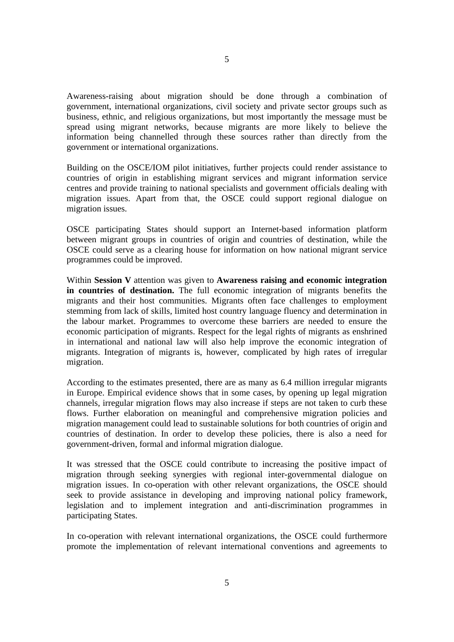Awareness-raising about migration should be done through a combination of government, international organizations, civil society and private sector groups such as business, ethnic, and religious organizations, but most importantly the message must be spread using migrant networks, because migrants are more likely to believe the information being channelled through these sources rather than directly from the government or international organizations.

Building on the OSCE/IOM pilot initiatives, further projects could render assistance to countries of origin in establishing migrant services and migrant information service centres and provide training to national specialists and government officials dealing with migration issues. Apart from that, the OSCE could support regional dialogue on migration issues.

OSCE participating States should support an Internet-based information platform between migrant groups in countries of origin and countries of destination, while the OSCE could serve as a clearing house for information on how national migrant service programmes could be improved.

Within **Session V** attention was given to **Awareness raising and economic integration in countries of destination.** The full economic integration of migrants benefits the migrants and their host communities. Migrants often face challenges to employment stemming from lack of skills, limited host country language fluency and determination in the labour market. Programmes to overcome these barriers are needed to ensure the economic participation of migrants. Respect for the legal rights of migrants as enshrined in international and national law will also help improve the economic integration of migrants. Integration of migrants is, however, complicated by high rates of irregular migration.

According to the estimates presented, there are as many as 6.4 million irregular migrants in Europe. Empirical evidence shows that in some cases, by opening up legal migration channels, irregular migration flows may also increase if steps are not taken to curb these flows. Further elaboration on meaningful and comprehensive migration policies and migration management could lead to sustainable solutions for both countries of origin and countries of destination. In order to develop these policies, there is also a need for government-driven, formal and informal migration dialogue.

It was stressed that the OSCE could contribute to increasing the positive impact of migration through seeking synergies with regional inter-governmental dialogue on migration issues. In co-operation with other relevant organizations, the OSCE should seek to provide assistance in developing and improving national policy framework, legislation and to implement integration and anti-discrimination programmes in participating States.

In co-operation with relevant international organizations, the OSCE could furthermore promote the implementation of relevant international conventions and agreements to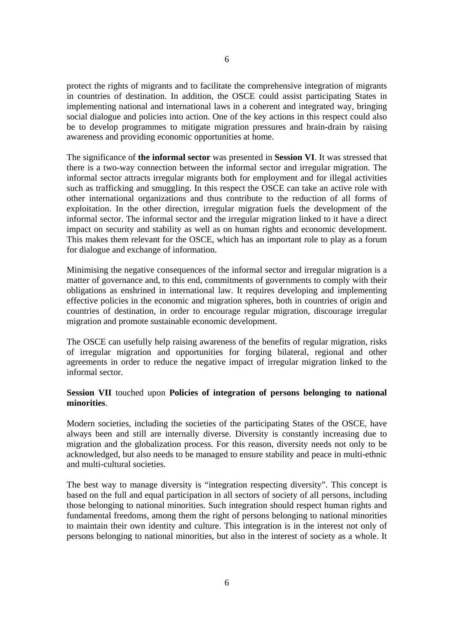protect the rights of migrants and to facilitate the comprehensive integration of migrants in countries of destination. In addition, the OSCE could assist participating States in implementing national and international laws in a coherent and integrated way, bringing social dialogue and policies into action. One of the key actions in this respect could also be to develop programmes to mitigate migration pressures and brain-drain by raising awareness and providing economic opportunities at home.

The significance of **the informal sector** was presented in **Session VI**. It was stressed that there is a two-way connection between the informal sector and irregular migration. The informal sector attracts irregular migrants both for employment and for illegal activities such as trafficking and smuggling. In this respect the OSCE can take an active role with other international organizations and thus contribute to the reduction of all forms of exploitation. In the other direction, irregular migration fuels the development of the informal sector. The informal sector and the irregular migration linked to it have a direct impact on security and stability as well as on human rights and economic development. This makes them relevant for the OSCE, which has an important role to play as a forum for dialogue and exchange of information.

Minimising the negative consequences of the informal sector and irregular migration is a matter of governance and, to this end, commitments of governments to comply with their obligations as enshrined in international law. It requires developing and implementing effective policies in the economic and migration spheres, both in countries of origin and countries of destination, in order to encourage regular migration, discourage irregular migration and promote sustainable economic development.

The OSCE can usefully help raising awareness of the benefits of regular migration, risks of irregular migration and opportunities for forging bilateral, regional and other agreements in order to reduce the negative impact of irregular migration linked to the informal sector.

### **Session VII** touched upon **Policies of integration of persons belonging to national minorities**.

Modern societies, including the societies of the participating States of the OSCE, have always been and still are internally diverse. Diversity is constantly increasing due to migration and the globalization process. For this reason, diversity needs not only to be acknowledged, but also needs to be managed to ensure stability and peace in multi-ethnic and multi-cultural societies.

The best way to manage diversity is "integration respecting diversity". This concept is based on the full and equal participation in all sectors of society of all persons, including those belonging to national minorities. Such integration should respect human rights and fundamental freedoms, among them the right of persons belonging to national minorities to maintain their own identity and culture. This integration is in the interest not only of persons belonging to national minorities, but also in the interest of society as a whole. It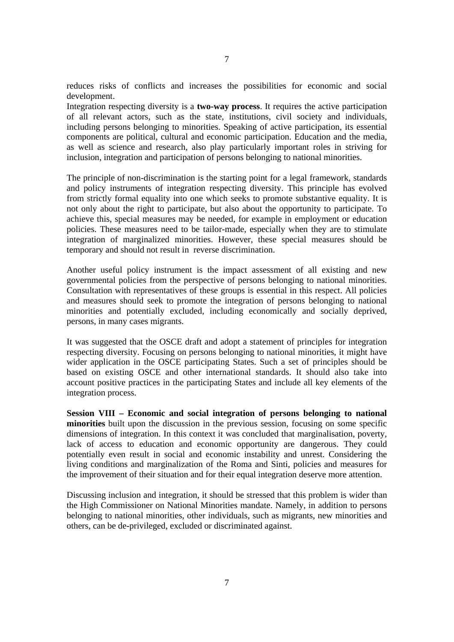reduces risks of conflicts and increases the possibilities for economic and social development.

Integration respecting diversity is a **two-way process**. It requires the active participation of all relevant actors, such as the state, institutions, civil society and individuals, including persons belonging to minorities. Speaking of active participation, its essential components are political, cultural and economic participation. Education and the media, as well as science and research, also play particularly important roles in striving for inclusion, integration and participation of persons belonging to national minorities.

The principle of non-discrimination is the starting point for a legal framework, standards and policy instruments of integration respecting diversity. This principle has evolved from strictly formal equality into one which seeks to promote substantive equality. It is not only about the right to participate, but also about the opportunity to participate. To achieve this, special measures may be needed, for example in employment or education policies. These measures need to be tailor-made, especially when they are to stimulate integration of marginalized minorities. However, these special measures should be temporary and should not result in reverse discrimination.

Another useful policy instrument is the impact assessment of all existing and new governmental policies from the perspective of persons belonging to national minorities. Consultation with representatives of these groups is essential in this respect. All policies and measures should seek to promote the integration of persons belonging to national minorities and potentially excluded, including economically and socially deprived, persons, in many cases migrants.

It was suggested that the OSCE draft and adopt a statement of principles for integration respecting diversity. Focusing on persons belonging to national minorities, it might have wider application in the OSCE participating States. Such a set of principles should be based on existing OSCE and other international standards. It should also take into account positive practices in the participating States and include all key elements of the integration process.

**Session VIII – Economic and social integration of persons belonging to national minorities** built upon the discussion in the previous session, focusing on some specific dimensions of integration. In this context it was concluded that marginalisation, poverty, lack of access to education and economic opportunity are dangerous. They could potentially even result in social and economic instability and unrest. Considering the living conditions and marginalization of the Roma and Sinti, policies and measures for the improvement of their situation and for their equal integration deserve more attention.

Discussing inclusion and integration, it should be stressed that this problem is wider than the High Commissioner on National Minorities mandate. Namely, in addition to persons belonging to national minorities, other individuals, such as migrants, new minorities and others, can be de-privileged, excluded or discriminated against.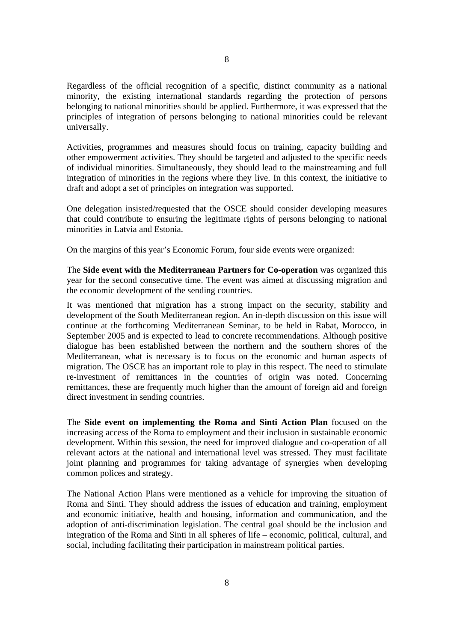Regardless of the official recognition of a specific, distinct community as a national minority, the existing international standards regarding the protection of persons belonging to national minorities should be applied. Furthermore, it was expressed that the principles of integration of persons belonging to national minorities could be relevant universally.

Activities, programmes and measures should focus on training, capacity building and other empowerment activities. They should be targeted and adjusted to the specific needs of individual minorities. Simultaneously, they should lead to the mainstreaming and full integration of minorities in the regions where they live. In this context, the initiative to draft and adopt a set of principles on integration was supported.

One delegation insisted/requested that the OSCE should consider developing measures that could contribute to ensuring the legitimate rights of persons belonging to national minorities in Latvia and Estonia.

On the margins of this year's Economic Forum, four side events were organized:

The **Side event with the Mediterranean Partners for Co-operation** was organized this year for the second consecutive time. The event was aimed at discussing migration and the economic development of the sending countries.

It was mentioned that migration has a strong impact on the security, stability and development of the South Mediterranean region. An in-depth discussion on this issue will continue at the forthcoming Mediterranean Seminar, to be held in Rabat, Morocco, in September 2005 and is expected to lead to concrete recommendations. Although positive dialogue has been established between the northern and the southern shores of the Mediterranean, what is necessary is to focus on the economic and human aspects of migration. The OSCE has an important role to play in this respect. The need to stimulate re-investment of remittances in the countries of origin was noted. Concerning remittances, these are frequently much higher than the amount of foreign aid and foreign direct investment in sending countries.

The **Side event on implementing the Roma and Sinti Action Plan** focused on the increasing access of the Roma to employment and their inclusion in sustainable economic development. Within this session, the need for improved dialogue and co-operation of all relevant actors at the national and international level was stressed. They must facilitate joint planning and programmes for taking advantage of synergies when developing common polices and strategy.

The National Action Plans were mentioned as a vehicle for improving the situation of Roma and Sinti. They should address the issues of education and training, employment and economic initiative, health and housing, information and communication, and the adoption of anti-discrimination legislation. The central goal should be the inclusion and integration of the Roma and Sinti in all spheres of life – economic, political, cultural, and social, including facilitating their participation in mainstream political parties.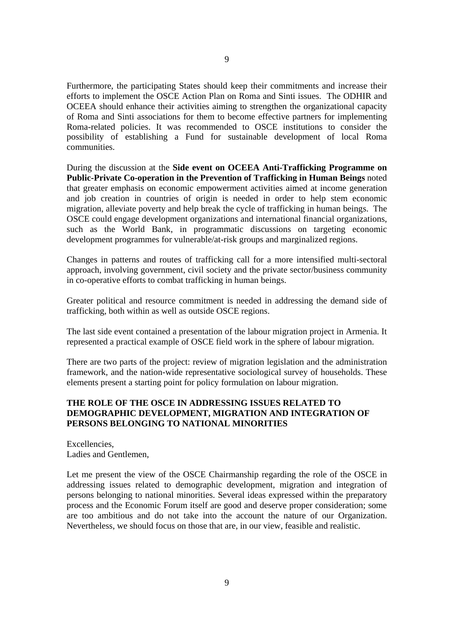Furthermore, the participating States should keep their commitments and increase their efforts to implement the OSCE Action Plan on Roma and Sinti issues. The ODHIR and OCEEA should enhance their activities aiming to strengthen the organizational capacity of Roma and Sinti associations for them to become effective partners for implementing Roma-related policies. It was recommended to OSCE institutions to consider the possibility of establishing a Fund for sustainable development of local Roma communities.

During the discussion at the **Side event on OCEEA Anti-Trafficking Programme on Public-Private Co-operation in the Prevention of Trafficking in Human Beings** noted that greater emphasis on economic empowerment activities aimed at income generation and job creation in countries of origin is needed in order to help stem economic migration, alleviate poverty and help break the cycle of trafficking in human beings. The OSCE could engage development organizations and international financial organizations, such as the World Bank, in programmatic discussions on targeting economic development programmes for vulnerable/at-risk groups and marginalized regions.

Changes in patterns and routes of trafficking call for a more intensified multi-sectoral approach, involving government, civil society and the private sector/business community in co-operative efforts to combat trafficking in human beings.

Greater political and resource commitment is needed in addressing the demand side of trafficking, both within as well as outside OSCE regions.

The last side event contained a presentation of the labour migration project in Armenia. It represented a practical example of OSCE field work in the sphere of labour migration.

There are two parts of the project: review of migration legislation and the administration framework, and the nation-wide representative sociological survey of households. These elements present a starting point for policy formulation on labour migration.

### **THE ROLE OF THE OSCE IN ADDRESSING ISSUES RELATED TO DEMOGRAPHIC DEVELOPMENT, MIGRATION AND INTEGRATION OF PERSONS BELONGING TO NATIONAL MINORITIES**

Excellencies, Ladies and Gentlemen,

Let me present the view of the OSCE Chairmanship regarding the role of the OSCE in addressing issues related to demographic development, migration and integration of persons belonging to national minorities. Several ideas expressed within the preparatory process and the Economic Forum itself are good and deserve proper consideration; some are too ambitious and do not take into the account the nature of our Organization. Nevertheless, we should focus on those that are, in our view, feasible and realistic.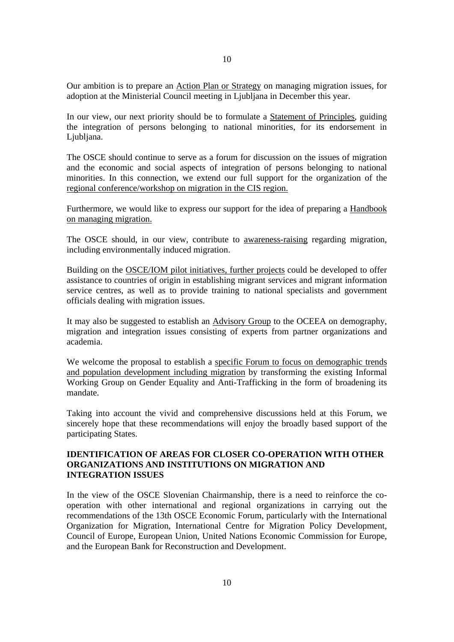Our ambition is to prepare an Action Plan or Strategy on managing migration issues, for adoption at the Ministerial Council meeting in Ljubljana in December this year.

In our view, our next priority should be to formulate a Statement of Principles, guiding the integration of persons belonging to national minorities, for its endorsement in Ljubljana.

The OSCE should continue to serve as a forum for discussion on the issues of migration and the economic and social aspects of integration of persons belonging to national minorities. In this connection, we extend our full support for the organization of the regional conference/workshop on migration in the CIS region.

Furthermore, we would like to express our support for the idea of preparing a Handbook on managing migration.

The OSCE should, in our view, contribute to awareness-raising regarding migration, including environmentally induced migration.

Building on the OSCE/IOM pilot initiatives, further projects could be developed to offer assistance to countries of origin in establishing migrant services and migrant information service centres, as well as to provide training to national specialists and government officials dealing with migration issues.

It may also be suggested to establish an Advisory Group to the OCEEA on demography, migration and integration issues consisting of experts from partner organizations and academia.

We welcome the proposal to establish a specific Forum to focus on demographic trends and population development including migration by transforming the existing Informal Working Group on Gender Equality and Anti-Trafficking in the form of broadening its mandate.

Taking into account the vivid and comprehensive discussions held at this Forum, we sincerely hope that these recommendations will enjoy the broadly based support of the participating States.

### **IDENTIFICATION OF AREAS FOR CLOSER CO-OPERATION WITH OTHER ORGANIZATIONS AND INSTITUTIONS ON MIGRATION AND INTEGRATION ISSUES**

In the view of the OSCE Slovenian Chairmanship, there is a need to reinforce the cooperation with other international and regional organizations in carrying out the recommendations of the 13th OSCE Economic Forum, particularly with the International Organization for Migration, International Centre for Migration Policy Development, Council of Europe, European Union, United Nations Economic Commission for Europe, and the European Bank for Reconstruction and Development.